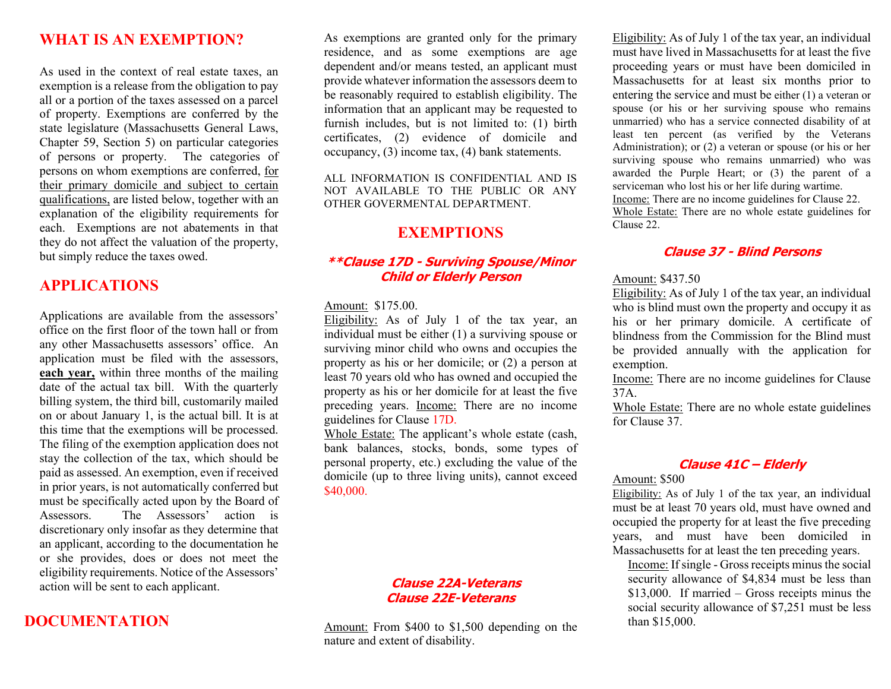## **WHAT IS AN EXEMPTION?**

As used in the context of real estate taxes, an exemption is a release from the obligation to pay all or a portion of the taxes assessed on a parcel of property. Exemptions are conferred by the state legislature (Massachusetts General Laws, Chapter 59, Section 5) on particular categories of persons or property. The categories of persons on whom exemptions are conferred, for their primary domicile and subject to certain qualifications, are listed below, together with an explanation of the eligibility requirements for each. Exemptions are not abatements in that they do not affect the valuation of the property, but simply reduce the taxes owed.

## **APPLICATIONS**

Applications are available from the assessors' office on the first floor of the town hall or from any other Massachusetts assessors' office. An application must be filed with the assessors, **each year,** within three months of the mailing date of the actual tax bill. With the quarterly billing system, the third bill, customarily mailed on or about January 1, is the actual bill. It is at this time that the exemptions will be processed. The filing of the exemption application does not stay the collection of the tax, which should be paid as assessed. An exemption, even if received in prior years, is not automatically conferred but must be specifically acted upon by the Board of Assessors. The Assessors' action is discretionary only insofar as they determine that an applicant, according to the documentation he or she provides, does or does not meet the eligibility requirements. Notice of the Assessors' action will be sent to each applicant.

## **DOCUMENTATION**

As exemptions are granted only for the primary residence, and as some exemptions are age dependent and/or means tested, an applicant must provide whatever information the assessors deem to be reasonably required to establish eligibility. The information that an applicant may be requested to furnish includes, but is not limited to: (1) birth certificates, (2) evidence of domicile and occupancy, (3) income tax, (4) bank statements.

ALL INFORMATION IS CONFIDENTIAL AND IS NOT AVAILABLE TO THE PUBLIC OR ANY OTHER GOVERMENTAL DEPARTMENT.

## **EXEMPTIONS**

#### **\*\*Clause 17D - Surviving Spouse/Minor Child or Elderly Person**

#### Amount: \$175.00.

Eligibility: As of July 1 of the tax year, an individual must be either (1) a surviving spouse or surviving minor child who owns and occupies the property as his or her domicile; or (2) a person at least 70 years old who has owned and occupied the property as his or her domicile for at least the five preceding years. Income: There are no income guidelines for Clause 17D.

Whole Estate: The applicant's whole estate (cash, bank balances, stocks, bonds, some types of personal property, etc.) excluding the value of the domicile (up to three living units), cannot exceed \$40,000.

#### **Clause 22A-Veterans Clause 22E-Veterans**

Amount: From \$400 to \$1,500 depending on the nature and extent of disability.

Eligibility: As of July 1 of the tax year, an individual must have lived in Massachusetts for at least the five proceeding years or must have been domiciled in Massachusetts for at least six months prior to entering the service and must be either (1) a veteran or spouse (or his or her surviving spouse who remains unmarried) who has a service connected disability of at least ten percent (as verified by the Veterans Administration); or (2) a veteran or spouse (or his or her surviving spouse who remains unmarried) who was awarded the Purple Heart; or (3) the parent of a serviceman who lost his or her life during wartime. Income: There are no income guidelines for Clause 22. Whole Estate: There are no whole estate guidelines for Clause 22.

#### **Clause 37 - Blind Persons**

#### Amount: \$437.50

Eligibility: As of July 1 of the tax year, an individual who is blind must own the property and occupy it as his or her primary domicile. A certificate of blindness from the Commission for the Blind must be provided annually with the application for exemption.

Income: There are no income guidelines for Clause 37A.

Whole Estate: There are no whole estate guidelines for Clause 37.

#### **Clause 41C – Elderly**

#### Amount: \$500

Eligibility: As of July 1 of the tax year, an individual must be at least 70 years old, must have owned and occupied the property for at least the five preceding years, and must have been domiciled in Massachusetts for at least the ten preceding years.

Income: If single - Gross receipts minus the social security allowance of \$4,834 must be less than \$13,000. If married – Gross receipts minus the social security allowance of \$7,251 must be less than \$15,000.